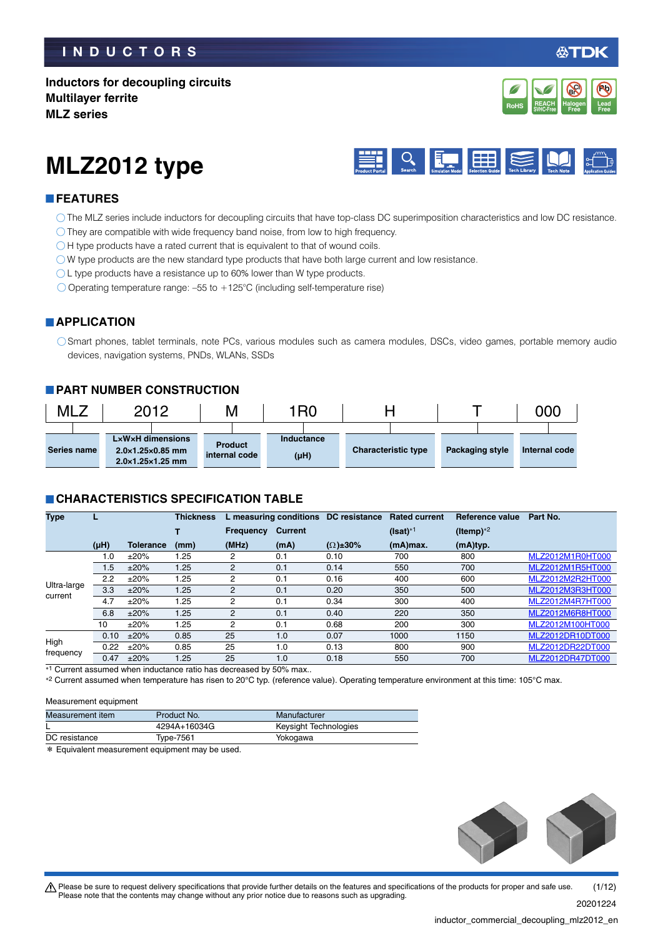### **Inductors for decoupling circuits Multilayer ferrite MLZ series**



# **MLZ2012 type**



### **FEATURES**

- The MLZ series include inductors for decoupling circuits that have top-class DC superimposition characteristics and low DC resistance.
- They are compatible with wide frequency band noise, from low to high frequency.
- $\bigcirc$  H type products have a rated current that is equivalent to that of wound coils.
- $\bigcirc$  W type products are the new standard type products that have both large current and low resistance.
- O L type products have a resistance up to 60% lower than W type products.
- $\bigcirc$  Operating temperature range: -55 to +125°C (including self-temperature rise)

#### **APPLICATION**

Smart phones, tablet terminals, note PCs, various modules such as camera modules, DSCs, video games, portable memory audio devices, navigation systems, PNDs, WLANs, SSDs

### **PART NUMBER CONSTRUCTION**

| MLz |             | 2012<br>Μ |                                                              |                | 1R0 |  |            |                            |  |  | 000             |               |  |
|-----|-------------|-----------|--------------------------------------------------------------|----------------|-----|--|------------|----------------------------|--|--|-----------------|---------------|--|
|     |             |           |                                                              |                |     |  |            |                            |  |  |                 |               |  |
|     |             |           | LxWxH dimensions                                             | <b>Product</b> |     |  | Inductance |                            |  |  |                 |               |  |
|     | Series name |           | $2.0\times1.25\times0.85$ mm<br>$2.0\times1.25\times1.25$ mm | internal code  |     |  | $(\mu H)$  | <b>Characteristic type</b> |  |  | Packaging style | Internal code |  |

#### **CHARACTERISTICS SPECIFICATION TABLE**

| <b>Type</b>            |           |                  | Thickness |                  | L measuring conditions | DC resistance       | <b>Rated current</b> | Reference value | Part No.         |
|------------------------|-----------|------------------|-----------|------------------|------------------------|---------------------|----------------------|-----------------|------------------|
|                        |           |                  |           | <b>Frequency</b> | <b>Current</b>         |                     | $(Isat)*1$           | (Itemp) $*2$    |                  |
|                        | $(\mu H)$ | <b>Tolerance</b> | (mm)      | (MHz)            | (mA)                   | $(\Omega) \pm 30\%$ | $(mA)$ max.          | (mA)typ.        |                  |
|                        | 1.0       | ±20%             | 1.25      | 2                | 0.1                    | 0.10                | 700                  | 800             | MLZ2012M1R0HT000 |
|                        | 1.5       | ±20%             | 1.25      | 2                | 0.1                    | 0.14                | 550                  | 700             | MLZ2012M1R5HT000 |
|                        | 2.2       | ±20%             | 1.25      | 2                | 0.1                    | 0.16                | 400                  | 600             | MLZ2012M2R2HT000 |
| Ultra-large<br>current | 3.3       | ±20%             | 1.25      | $\overline{2}$   | 0.1                    | 0.20                | 350                  | 500             | MLZ2012M3R3HT000 |
|                        | 4.7       | ±20%             | 1.25      | $\overline{2}$   | 0.1                    | 0.34                | 300                  | 400             | MLZ2012M4R7HT000 |
|                        | 6.8       | ±20%             | 1.25      | $\overline{2}$   | 0.1                    | 0.40                | 220                  | 350             | MLZ2012M6R8HT000 |
|                        | 10        | ±20%             | 1.25      | 2                | 0.1                    | 0.68                | 200                  | 300             | MLZ2012M100HT000 |
| High<br>frequency      | 0.10      | ±20%             | 0.85      | 25               | 1.0                    | 0.07                | 1000                 | 1150            | MLZ2012DR10DT000 |
|                        | 0.22      | ±20%             | 0.85      | 25               | 1.0                    | 0.13                | 800                  | 900             | MLZ2012DR22DT000 |
|                        | 0.47      | ±20%             | 1.25      | 25               | 1.0                    | 0.18                | 550                  | 700             | MLZ2012DR47DT000 |

1 Current assumed when inductance ratio has decreased by 50% max..

\*2 Current assumed when temperature has risen to 20°C typ. (reference value). Operating temperature environment at this time: 105°C max.

#### Measurement equipment

| Measurement item | Product No.  | Manufacturer          |
|------------------|--------------|-----------------------|
|                  | 4294A+16034G | Keysight Technologies |
| DC resistance    | Type-7561    | Yokogawa              |
|                  |              |                       |

\* Equivalent measurement equipment may be used.



t Please be sure to request delivery specifications that provide further details on the features and specifications of the products for proper and safe use. Please note that the contents may change without any prior notice due to reasons such as upgrading. 20201224 (1/12)

inductor\_commercial\_decoupling\_mlz2012\_en.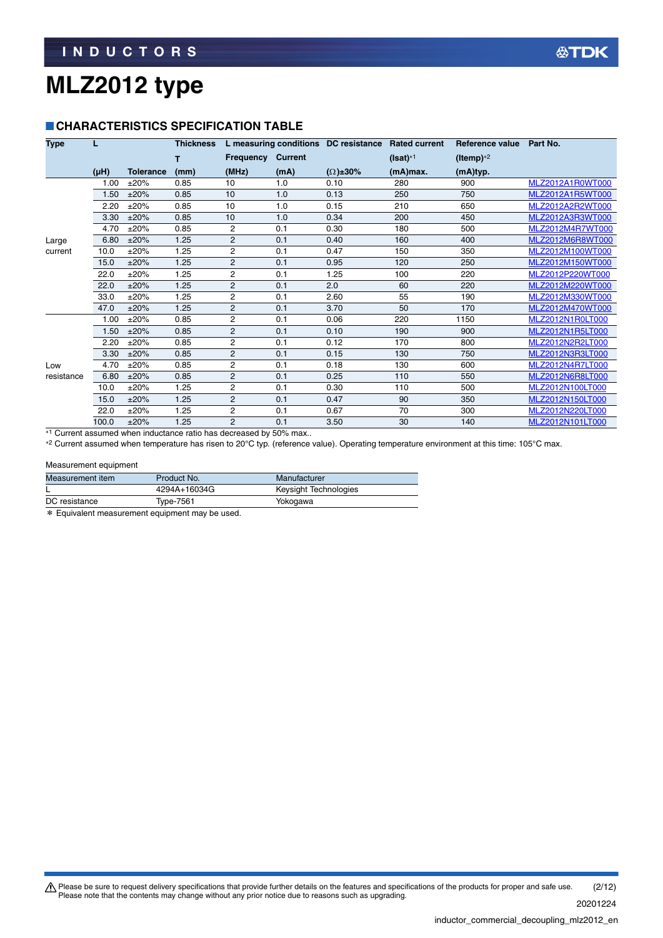### **CHARACTERISTICS SPECIFICATION TABLE**

| <b>Type</b> | L         |                  | <b>Thickness</b> |                |                | L measuring conditions DC resistance Rated current |            | <b>Reference value</b> | Part No.         |
|-------------|-----------|------------------|------------------|----------------|----------------|----------------------------------------------------|------------|------------------------|------------------|
|             |           |                  | т                | Frequency      | <b>Current</b> |                                                    | $(Isat)*1$ | (Itemp) $*2$           |                  |
|             | $(\mu H)$ | <b>Tolerance</b> | (mm)             | (MHz)          | (mA)           | $(\Omega) \pm 30\%$                                | (mA)max.   | (mA)typ.               |                  |
|             | 1.00      | ±20%             | 0.85             | 10             | 1.0            | 0.10                                               | 280        | 900                    | MLZ2012A1R0WT000 |
|             | 1.50      | ±20%             | 0.85             | 10             | 1.0            | 0.13                                               | 250        | 750                    | MLZ2012A1R5WT000 |
|             | 2.20      | ±20%             | 0.85             | 10             | 1.0            | 0.15                                               | 210        | 650                    | MLZ2012A2R2WT000 |
|             | 3.30      | ±20%             | 0.85             | 10             | 1.0            | 0.34                                               | 200        | 450                    | MLZ2012A3R3WT000 |
|             | 4.70      | ±20%             | 0.85             | $\overline{2}$ | 0.1            | 0.30                                               | 180        | 500                    | MLZ2012M4R7WT000 |
| Large       | 6.80      | ±20%             | 1.25             | $\overline{2}$ | 0.1            | 0.40                                               | 160        | 400                    | MLZ2012M6R8WT000 |
| current     | 10.0      | ±20%             | 1.25             | $\overline{c}$ | 0.1            | 0.47                                               | 150        | 350                    | MLZ2012M100WT000 |
|             | 15.0      | ±20%             | 1.25             | $\overline{2}$ | 0.1            | 0.95                                               | 120        | 250                    | MLZ2012M150WT000 |
|             | 22.0      | ±20%             | 1.25             | $\overline{2}$ | 0.1            | 1.25                                               | 100        | 220                    | MLZ2012P220WT000 |
|             | 22.0      | ±20%             | 1.25             | 2              | 0.1            | 2.0                                                | 60         | 220                    | MLZ2012M220WT000 |
|             | 33.0      | ±20%             | 1.25             | $\overline{2}$ | 0.1            | 2.60                                               | 55         | 190                    | MLZ2012M330WT000 |
|             | 47.0      | ±20%             | 1.25             | $\overline{c}$ | 0.1            | 3.70                                               | 50         | 170                    | MLZ2012M470WT000 |
|             | 1.00      | ±20%             | 0.85             | $\overline{2}$ | 0.1            | 0.06                                               | 220        | 1150                   | MLZ2012N1R0LT000 |
|             | 1.50      | ±20%             | 0.85             | $\overline{c}$ | 0.1            | 0.10                                               | 190        | 900                    | MLZ2012N1R5LT000 |
|             | 2.20      | ±20%             | 0.85             | $\overline{c}$ | 0.1            | 0.12                                               | 170        | 800                    | MLZ2012N2R2LT000 |
|             | 3.30      | ±20%             | 0.85             | $\overline{c}$ | 0.1            | 0.15                                               | 130        | 750                    | MLZ2012N3R3LT000 |
| Low         | 4.70      | ±20%             | 0.85             | $\overline{c}$ | 0.1            | 0.18                                               | 130        | 600                    | MLZ2012N4R7LT000 |
| resistance  | 6.80      | ±20%             | 0.85             | $\mathbf{2}$   | 0.1            | 0.25                                               | 110        | 550                    | MLZ2012N6R8LT000 |
|             | 10.0      | ±20%             | 1.25             | $\overline{2}$ | 0.1            | 0.30                                               | 110        | 500                    | MLZ2012N100LT000 |
|             | 15.0      | ±20%             | 1.25             | $\overline{c}$ | 0.1            | 0.47                                               | 90         | 350                    | MLZ2012N150LT000 |
|             | 22.0      | ±20%             | 1.25             | $\overline{c}$ | 0.1            | 0.67                                               | 70         | 300                    | MLZ2012N220LT000 |
|             | 100.0     | ±20%             | 1.25             | $\overline{2}$ | 0.1            | 3.50                                               | 30         | 140                    | MLZ2012N101LT000 |

<sup>\*1</sup> Current assumed when inductance ratio has decreased by 50% max..

\*2 Current assumed when temperature has risen to 20°C typ. (reference value). Operating temperature environment at this time: 105°C max.

#### Measurement equipment

| Measurement item | Product No.  | Manufacturer          |  |
|------------------|--------------|-----------------------|--|
|                  | 4294A+16034G | Keysight Technologies |  |
| DC resistance    | Type-7561    | Yokogawa              |  |

\* Equivalent measurement equipment may be used.

Please be sure to request delivery specifications that provide further details on the features and specifications of the products for proper and safe use.<br>Please note that the contents may change without any prior notice d 20201224 (2/12)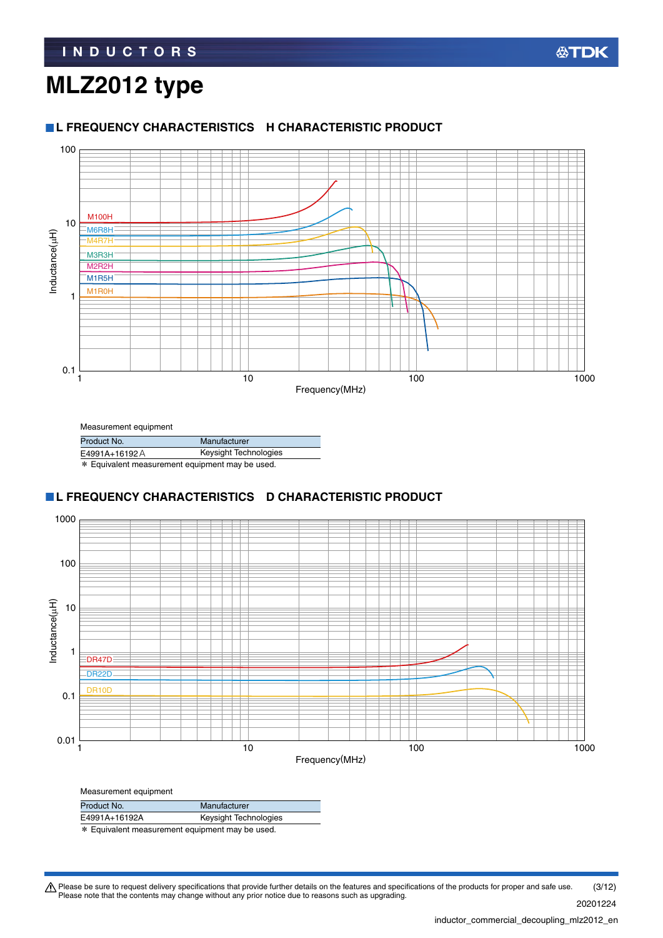#### **L FREQUENCY CHARACTERISTICS H CHARACTERISTIC PRODUCT**



| Measurement equipment                           |              |  |
|-------------------------------------------------|--------------|--|
| Product No.                                     | Manufacturer |  |
| Keysight Technologies<br>E4991A+16192A          |              |  |
| * Equivalent measurement equipment may be used. |              |  |

### **L FREQUENCY CHARACTERISTICS D CHARACTERISTIC PRODUCT**



| Measurement equipment                          |                       |  |
|------------------------------------------------|-----------------------|--|
| Product No.                                    | Manufacturer          |  |
| E4991A+16192A                                  | Keysight Technologies |  |
| * Equivalent measurement equipment may be used |                       |  |

Equivalent measurement equipment may be used.

Please be sure to request delivery specifications that provide further details on the features and specifications of the products for proper and safe use.<br>Please note that the contents may change without any prior notice d 20201224 (3/12)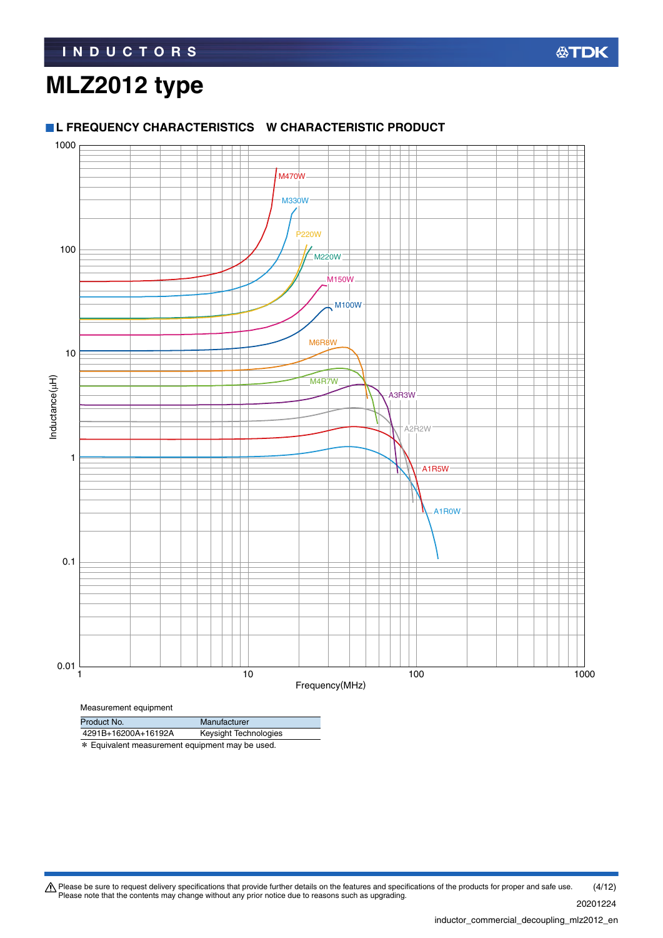### **L FREQUENCY CHARACTERISTICS W CHARACTERISTIC PRODUCT**



| Product No.         | Manufacturer          |
|---------------------|-----------------------|
| 4291B+16200A+16192A | Keysight Technologies |
| .                   |                       |

\* Equivalent measurement equipment may be used.

Please be sure to request delivery specifications that provide further details on the features and specifications of the products for proper and safe use.<br>Please note that the contents may change without any prior notice d 20201224 (4/12)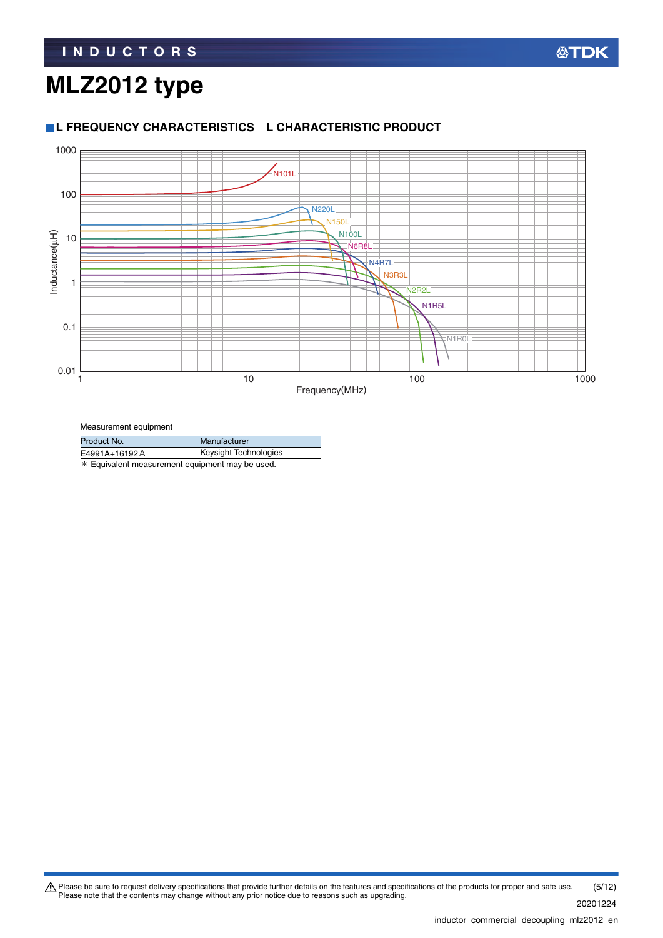#### **L FREQUENCY CHARACTERISTICS L CHARACTERISTIC PRODUCT**



Measurement equipment

| Product No.                                     | Manufacturer          |  |  |
|-------------------------------------------------|-----------------------|--|--|
| E4991A+16192A                                   | Keysight Technologies |  |  |
| * Equivalent measurement equipment may be used. |                       |  |  |

Please be sure to request delivery specifications that provide further details on the features and specifications of the products for proper and safe use.<br>Please note that the contents may change without any prior notice d 20201224 (5/12)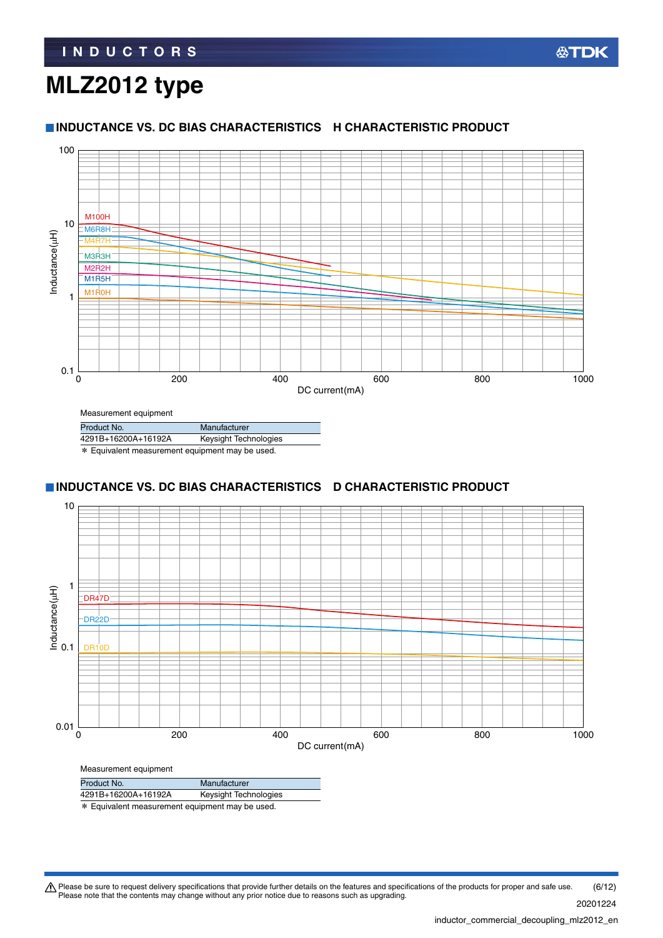## **MLZ2012 type**

#### **INDUCTANCE VS. DC BIAS CHARACTERISTICS H CHARACTERISTIC PRODUCT**



## Measurement equipment

| Product No.                                           | Manufacturer          |  |  |
|-------------------------------------------------------|-----------------------|--|--|
| 4291B+16200A+16192A                                   | Keysight Technologies |  |  |
| <b>W</b> Equivalent moonurement equipment mou be used |                       |  |  |

\* Equivalent measurement equipment may be used.

### **INDUCTANCE VS. DC BIAS CHARACTERISTICS D CHARACTERISTIC PRODUCT**



| Product No.                                                                         | Manufacturer          |  |  |
|-------------------------------------------------------------------------------------|-----------------------|--|--|
| 4291B+16200A+16192A                                                                 | Keysight Technologies |  |  |
| stell march on langt para a according and a according and parameters of a contradi- |                       |  |  |

\* Equivalent measurement equipment may be used.

Please be sure to request delivery specifications that provide further details on the features and specifications of the products for proper and safe use.<br>Please note that the contents may change without any prior notice d (6/12)

20201224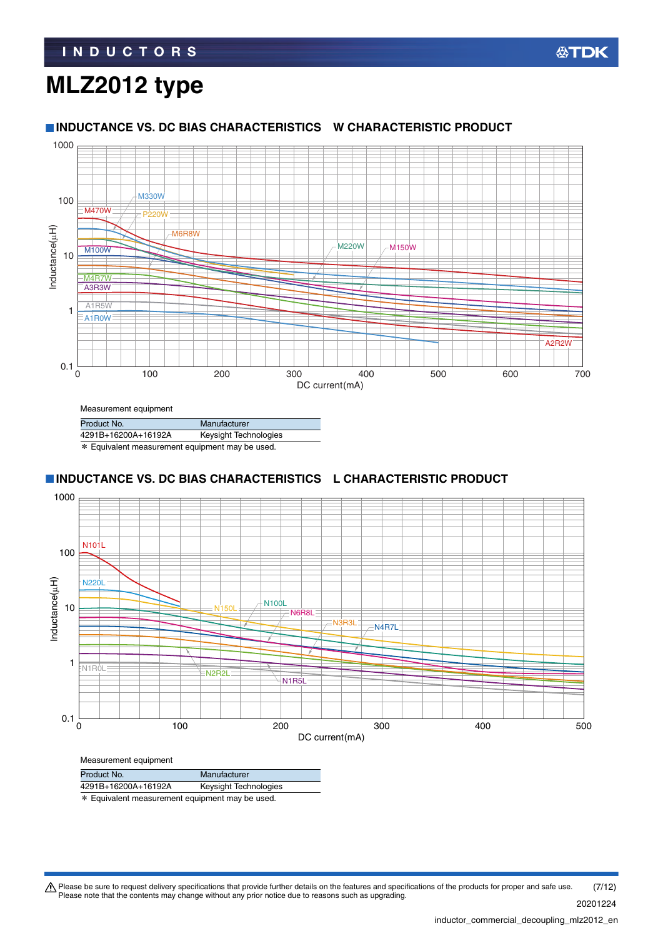## **MLZ2012 type**

#### **INDUCTANCE VS. DC BIAS CHARACTERISTICS W CHARACTERISTIC PRODUCT**



| Measurement equipment                           |                       |  |  |  |
|-------------------------------------------------|-----------------------|--|--|--|
| Product No.                                     | Manufacturer          |  |  |  |
| 4291B+16200A+16192A                             | Keysight Technologies |  |  |  |
| * Equivalent measurement equipment may be used. |                       |  |  |  |

### **INDUCTANCE VS. DC BIAS CHARACTERISTICS L CHARACTERISTIC PRODUCT**



\* Equivalent measurement equipment may be used. Product No. Manufacturer 4291B+16200A+16192A Keysight Technologies

Please be sure to request delivery specifications that provide further details on the features and specifications of the products for proper and safe use.<br>Please note that the contents may change without any prior notice d 20201224 (7/12)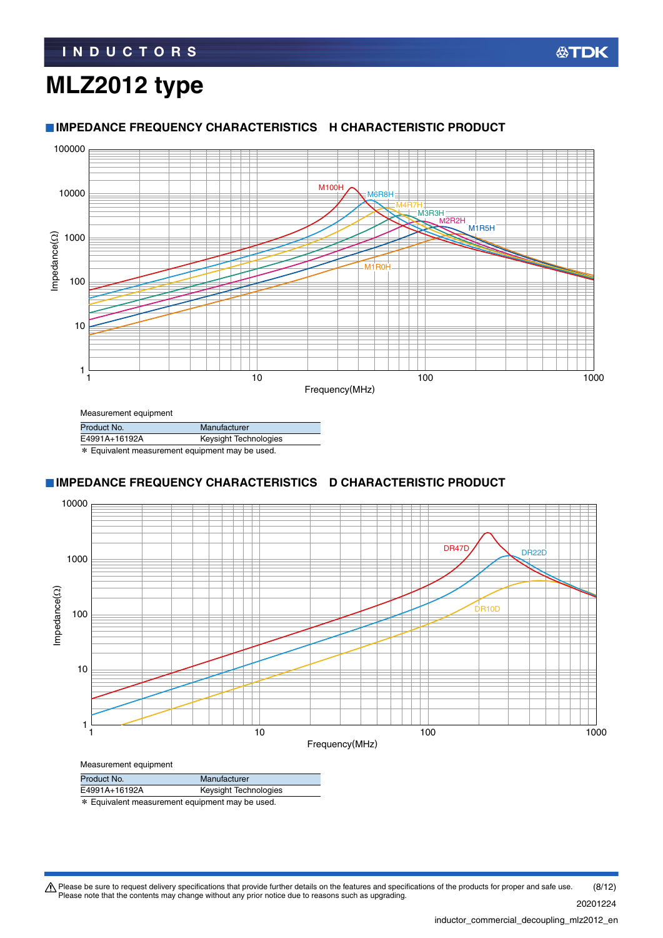## **MLZ2012 type**



## Measurement equipment

| Product No.                                     | Manufacturer          |  |
|-------------------------------------------------|-----------------------|--|
| E4991A+16192A                                   | Keysight Technologies |  |
| * Equivalent measurement equipment may be used. |                       |  |

## **IMPEDANCE FREQUENCY CHARACTERISTICS D CHARACTERISTIC PRODUCT**



| Product No.                                     | Manufacturer          |  |
|-------------------------------------------------|-----------------------|--|
| E4991A+16192A                                   | Keysight Technologies |  |
| * Equivalent measurement equipment may be used. |                       |  |

Please be sure to request delivery specifications that provide further details on the features and specifications of the products for proper and safe use.<br>Please note that the contents may change without any prior notice d (8/12)

20201224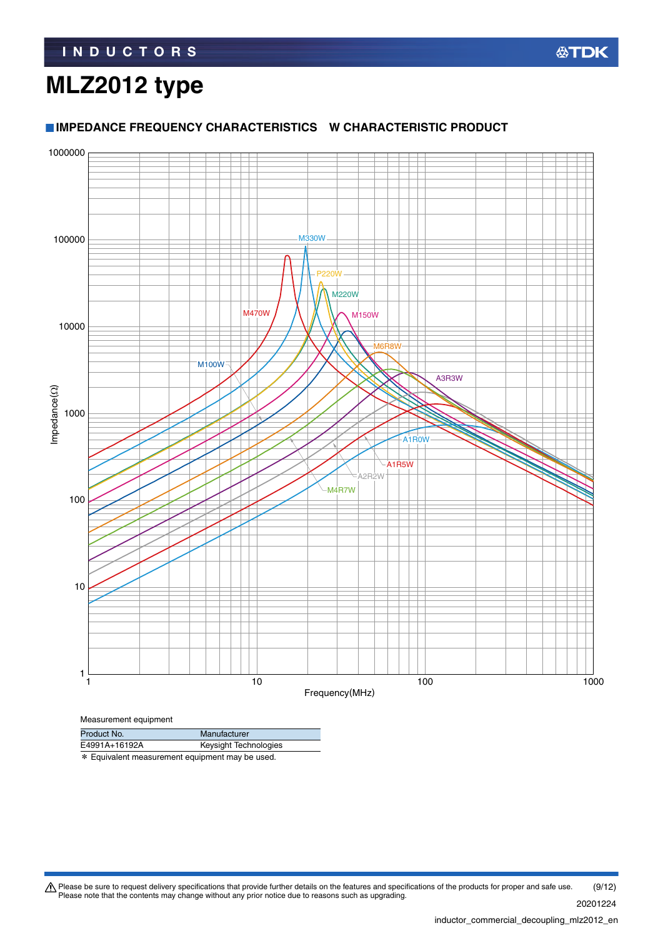#### **IMPEDANCE FREQUENCY CHARACTERISTICS W CHARACTERISTIC PRODUCT**



| E4991A+16192A                                   | Keysight Technologies |
|-------------------------------------------------|-----------------------|
| * Equivalent measurement equipment may be used. |                       |

Please be sure to request delivery specifications that provide further details on the features and specifications of the products for proper and safe use.<br>Please note that the contents may change without any prior notice d

20201224 (9/12)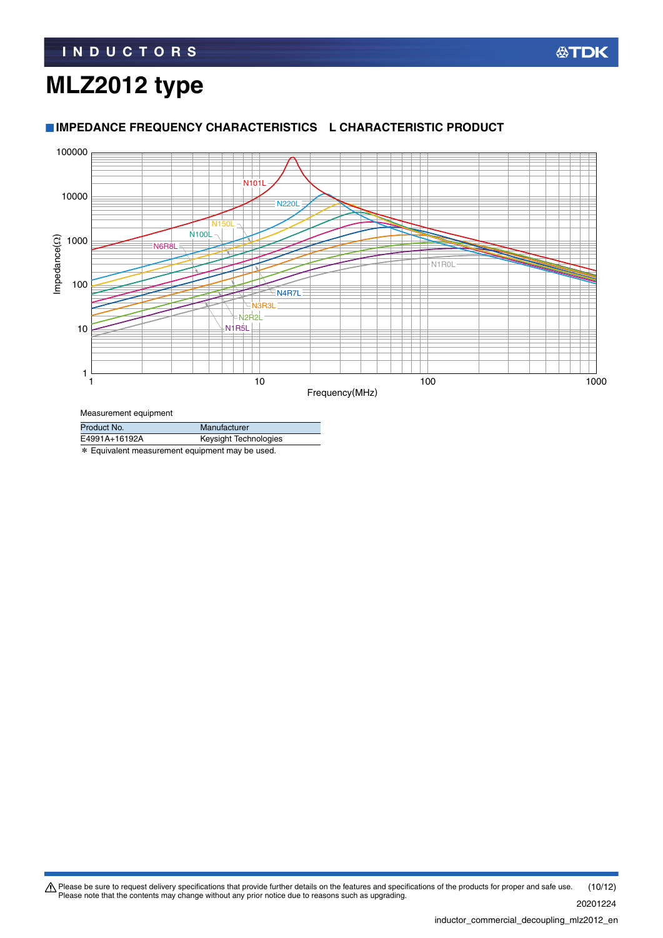#### 100000 N101L 10000 **N220L** N150LN<sub>100</sub>  $im$ pedance $(\Omega)$ 1000 Impedance(Ω) **N6R8L** N1R0L 100 N4R7L N3R3L N2R2L 10 N1R5L 1 1 1  $10$  100  $100$  100  $100$  100  $100$ Frequency(MHz)

#### **IMPEDANCE FREQUENCY CHARACTERISTICS L CHARACTERISTIC PRODUCT**

Measurement equipment

| Product No.                                                                                                     | Manufacturer          |  |
|-----------------------------------------------------------------------------------------------------------------|-----------------------|--|
| E4991A+16192A                                                                                                   | Keysight Technologies |  |
| nder Erste der Erste der Bereichneiter und der Bereichne und der Erstellung und Erstellung und Erstellung und E |                       |  |

\* Equivalent measurement equipment may be used.

Please be sure to request delivery specifications that provide further details on the features and specifications of the products for proper and safe use.<br>Please note that the contents may change without any prior notice d 20201224 (10/12)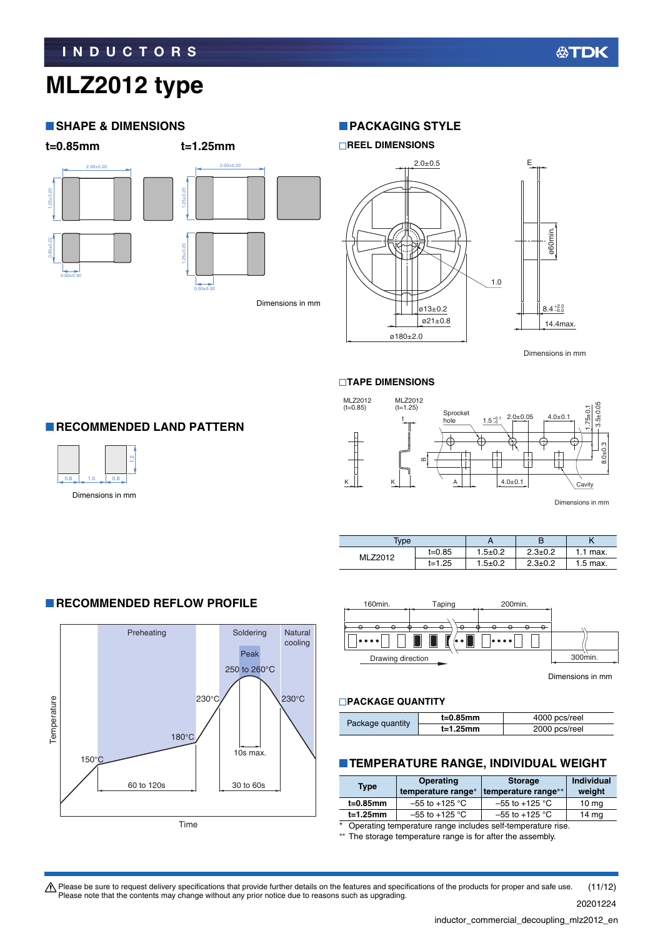#### **SHAPE & DIMENSIONS**



#### Dimensions in mm

#### **PACKAGING STYLE**



Dimensions in mm

#### **TAPE DIMENSIONS**



Dimensions in mm

| <b>Type</b> |            |             |               |            |
|-------------|------------|-------------|---------------|------------|
| MLZ2012     | t=0.85     | $1.5 + 0.2$ | $2.3 \pm 0.2$ | $1.1$ max. |
|             | $t = 1.25$ | $1.5 + 0.2$ | $2.3 \pm 0.2$ | $1.5$ max. |



Dimensions in mm

#### **PACKAGE QUANTITY**

|                  | $t=0.85$ mm | 4000 pcs/reel |
|------------------|-------------|---------------|
| Package quantity | $t=1.25$ mm | 2000 pcs/reel |

#### **TEMPERATURE RANGE, INDIVIDUAL WEIGHT**

| <b>Type</b>                                                           | <b>Operating</b><br>temperature range* | <b>Storage</b><br>temperature range** | <b>Individual</b><br>weight |
|-----------------------------------------------------------------------|----------------------------------------|---------------------------------------|-----------------------------|
| t=0.85mm                                                              | $-55$ to +125 °C                       | $-55$ to $+125$ °C                    | $10 \text{ mg}$             |
| $t=1.25$ mm                                                           | $-55$ to $+125$ °C                     | $-55$ to $+125$ °C                    | 14 mg                       |
| $\ast$<br>Operating temperature range includes self-temperature rise. |                                        |                                       |                             |

The storage temperature range is for after the assembly.

**RECOMMENDED LAND PATTERN** 



Dimensions in mm

#### **RECOMMENDED REFLOW PROFILE**



Please be sure to request delivery specifications that provide further details on the features and specifications of the products for proper and safe use.<br>Please note that the contents may change without any prior notice d (11/12)